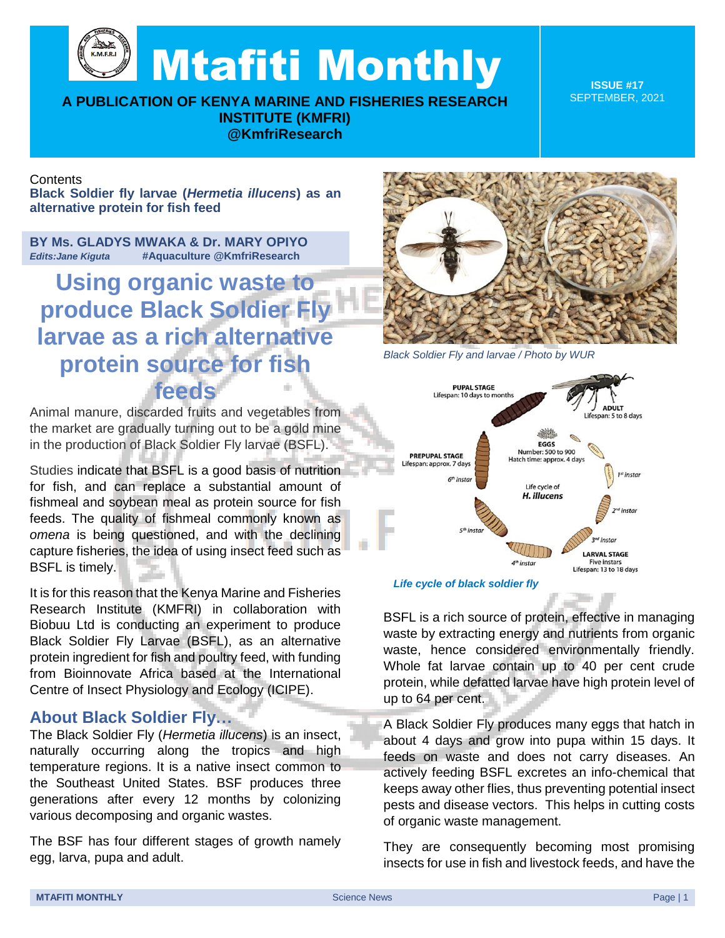Mtafiti Monthly

**A PUBLICATION OF KENYA MARINE AND FISHERIES RESEARCH INSTITUTE (KMFRI) @KmfriResearch**

**ISSUE #17** SEPTEMBER, 2021

## **Contents**

**Black Soldier fly larvae (***Hermetia illucens***) as an alternative protein for fish feed**

**BY Ms. GLADYS MWAKA & Dr. MARY OPIYO**  *Edits:Jane Kiguta* **#Aquaculture @KmfriResearch**

**Using organic waste to produce Black Soldier Fly larvae as a rich alternative protein source for fish feeds**

Animal manure, discarded fruits and vegetables from the market are gradually turning out to be a gold mine in the production of Black Soldier Fly larvae (BSFL).

Studies indicate that BSFL is a good basis of nutrition for fish, and can replace a substantial amount of fishmeal and soybean meal as protein source for fish feeds. The quality of fishmeal commonly known as *omena* is being questioned, and with the declining capture fisheries, the idea of using insect feed such as BSFL is timely.

It is for this reason that the Kenya Marine and Fisheries Research Institute (KMFRI) in collaboration with Biobuu Ltd is conducting an experiment to produce Black Soldier Fly Larvae (BSFL), as an alternative protein ingredient for fish and poultry feed, with funding from Bioinnovate Africa based at the International Centre of Insect Physiology and Ecology (ICIPE).

## **About Black Soldier Fly…**

The Black Soldier Fly (*Hermetia illucens*) is an insect, naturally occurring along the tropics and high temperature regions. It is a native insect common to the Southeast United States. BSF produces three generations after every 12 months by colonizing various decomposing and organic wastes.

The BSF has four different stages of growth namely egg, larva, pupa and adult.



*Black Soldier Fly and larvae / Photo by WUR*



## *Life cycle of black soldier fly*

BSFL is a rich source of protein, effective in managing waste by extracting energy and nutrients from organic waste, hence considered environmentally friendly. Whole fat larvae contain up to 40 per cent crude protein, while defatted larvae have high protein level of up to 64 per cent.

A Black Soldier Fly produces many eggs that hatch in about 4 days and grow into pupa within 15 days. It feeds on waste and does not carry diseases. An actively feeding BSFL excretes an info-chemical that keeps away other flies, thus preventing potential insect pests and disease vectors. This helps in cutting costs of organic waste management.

They are consequently becoming most promising insects for use in fish and livestock feeds, and have the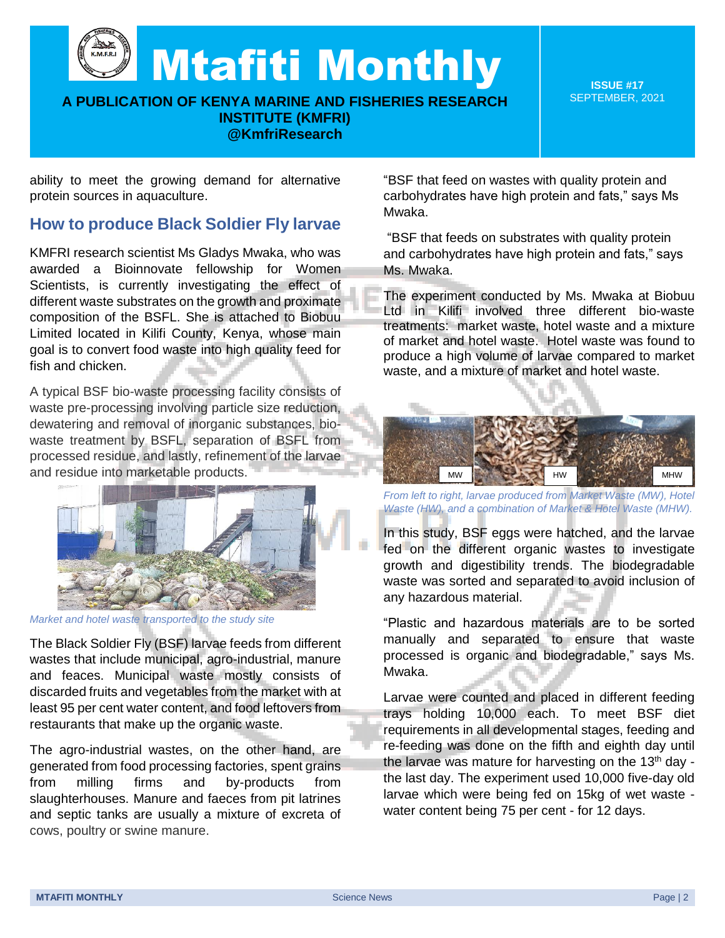Mtafiti Monthly

**A PUBLICATION OF KENYA MARINE AND FISHERIES RESEARCH INSTITUTE (KMFRI) @KmfriResearch**

**ISSUE #17** SEPTEMBER, 2021

ability to meet the growing demand for alternative protein sources in aquaculture.

## **How to produce Black Soldier Fly larvae**

KMFRI research scientist Ms Gladys Mwaka, who was awarded a Bioinnovate fellowship for Women Scientists, is currently investigating the effect of different waste substrates on the growth and proximate composition of the BSFL. She is attached to Biobuu Limited located in Kilifi County, Kenya, whose main goal is to convert food waste into high quality feed for fish and chicken.

A typical BSF bio-waste processing facility consists of waste pre-processing involving particle size reduction, dewatering and removal of inorganic substances, biowaste treatment by BSFL, separation of BSFL from processed residue, and lastly, refinement of the larvae and residue into marketable products.



*Market and hotel waste transported to the study site*

The Black Soldier Fly (BSF) larvae feeds from different wastes that include municipal, agro-industrial, manure and feaces. Municipal waste mostly consists of discarded fruits and vegetables from the market with at least 95 per cent water content, and food leftovers from restaurants that make up the organic waste.

The agro-industrial wastes, on the other hand, are generated from food processing factories, spent grains from milling firms and by-products from slaughterhouses. Manure and faeces from pit latrines and septic tanks are usually a mixture of excreta of cows, poultry or swine manure.

"BSF that feed on wastes with quality protein and carbohydrates have high protein and fats," says Ms Mwaka.

"BSF that feeds on substrates with quality protein and carbohydrates have high protein and fats," says Ms. Mwaka.

The experiment conducted by Ms. Mwaka at Biobuu Ltd in Kilifi involved three different bio-waste treatments: market waste, hotel waste and a mixture of market and hotel waste. Hotel waste was found to produce a high volume of larvae compared to market waste, and a mixture of market and hotel waste.



*From left to right, larvae produced from Market Waste (MW), Hotel Waste (HW), and a combination of Market & Hotel Waste (MHW).*

In this study, BSF eggs were hatched, and the larvae fed on the different organic wastes to investigate growth and digestibility trends. The biodegradable waste was sorted and separated to avoid inclusion of any hazardous material.

"Plastic and hazardous materials are to be sorted manually and separated to ensure that waste processed is organic and biodegradable," says Ms. Mwaka.

Larvae were counted and placed in different feeding trays holding 10,000 each. To meet BSF diet requirements in all developmental stages, feeding and re-feeding was done on the fifth and eighth day until the larvae was mature for harvesting on the 13<sup>th</sup> day the last day. The experiment used 10,000 five-day old larvae which were being fed on 15kg of wet waste water content being 75 per cent - for 12 days.